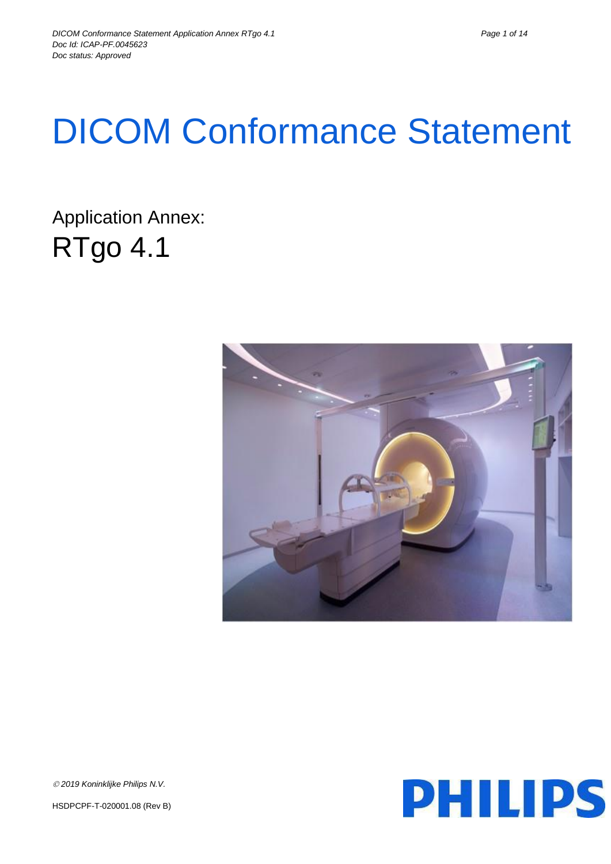# DICOM Conformance Statement

Application Annex: RTgo 4.1





*2019 Koninklijke Philips N.V.*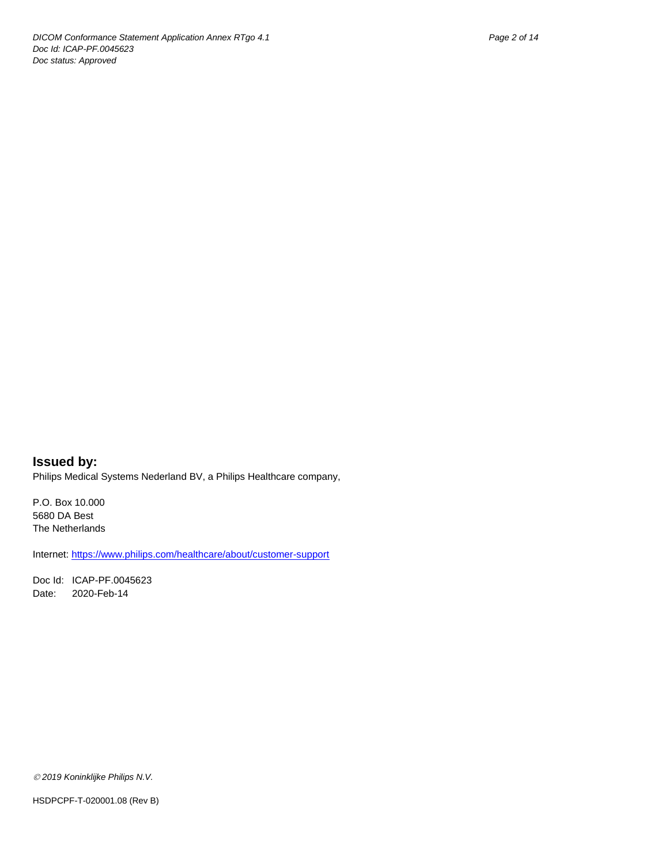**Issued by:** Philips Medical Systems Nederland BV, a Philips Healthcare company,

P.O. Box 10.000 5680 DA Best The Netherlands

Internet[: https://www.philips.com/healthcare/about/customer-support](https://www.philips.com/healthcare/about/customer-support)

Doc Id: ICAP-PF.0045623 Date: 2020-Feb-14

*2019 Koninklijke Philips N.V.*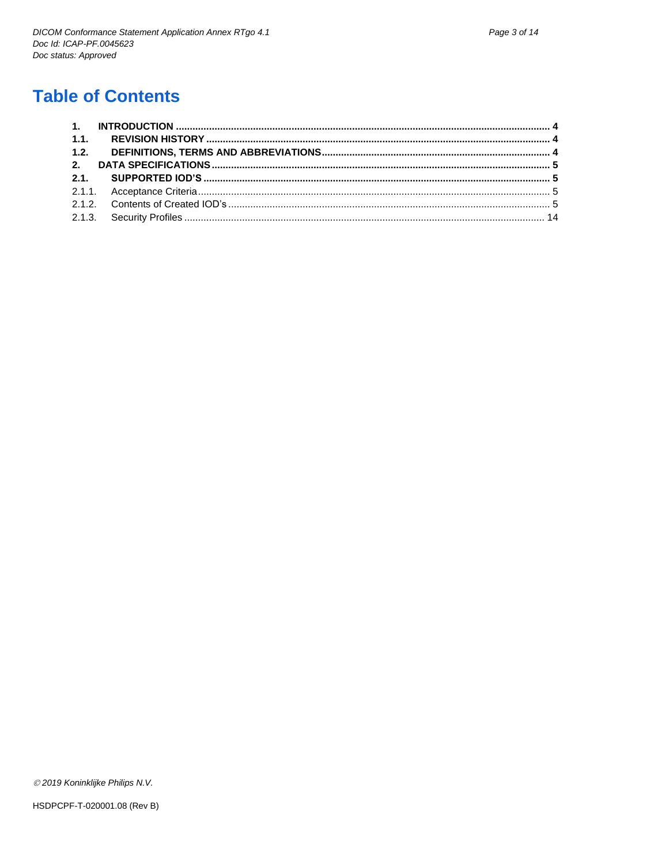# **Table of Contents**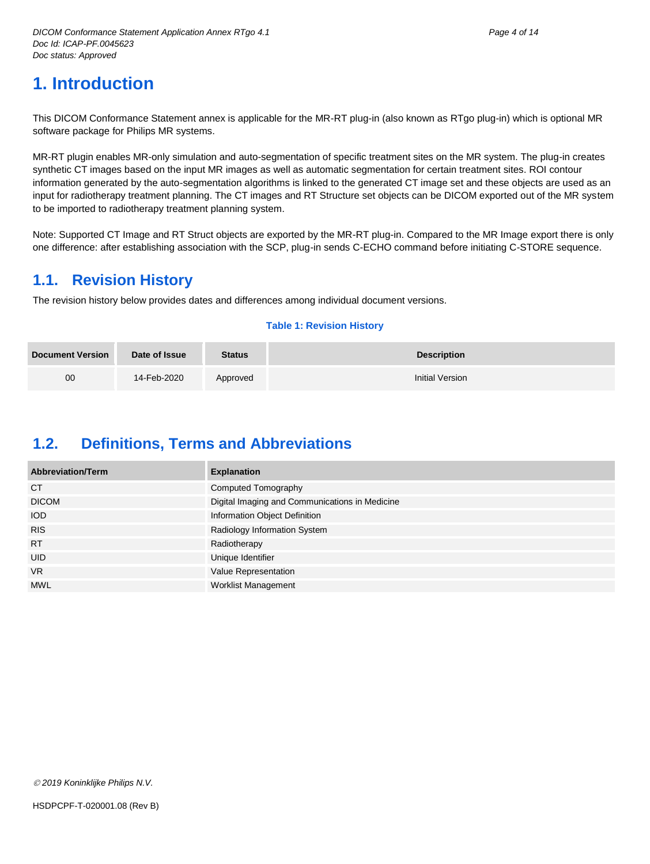<span id="page-3-0"></span>This DICOM Conformance Statement annex is applicable for the MR-RT plug-in (also known as RTgo plug-in) which is optional MR software package for Philips MR systems.

MR-RT plugin enables MR-only simulation and auto-segmentation of specific treatment sites on the MR system. The plug-in creates synthetic CT images based on the input MR images as well as automatic segmentation for certain treatment sites. ROI contour information generated by the auto-segmentation algorithms is linked to the generated CT image set and these objects are used as an input for radiotherapy treatment planning. The CT images and RT Structure set objects can be DICOM exported out of the MR system to be imported to radiotherapy treatment planning system.

Note: Supported CT Image and RT Struct objects are exported by the MR-RT plug-in. Compared to the MR Image export there is only one difference: after establishing association with the SCP, plug-in sends C-ECHO command before initiating C-STORE sequence.

## <span id="page-3-1"></span>**1.1. Revision History**

The revision history below provides dates and differences among individual document versions.

#### **Table 1: Revision History**

| <b>Document Version</b> | Date of Issue | <b>Status</b> | <b>Description</b> |
|-------------------------|---------------|---------------|--------------------|
| 00                      | 14-Feb-2020   | Approved      | Initial Version    |

## <span id="page-3-2"></span>**1.2. Definitions, Terms and Abbreviations**

| <b>Abbreviation/Term</b> | <b>Explanation</b>                             |
|--------------------------|------------------------------------------------|
| <b>CT</b>                | Computed Tomography                            |
| <b>DICOM</b>             | Digital Imaging and Communications in Medicine |
| <b>IOD</b>               | Information Object Definition                  |
| <b>RIS</b>               | Radiology Information System                   |
| <b>RT</b>                | Radiotherapy                                   |
| <b>UID</b>               | Unique Identifier                              |
| <b>VR</b>                | Value Representation                           |
| <b>MWL</b>               | Worklist Management                            |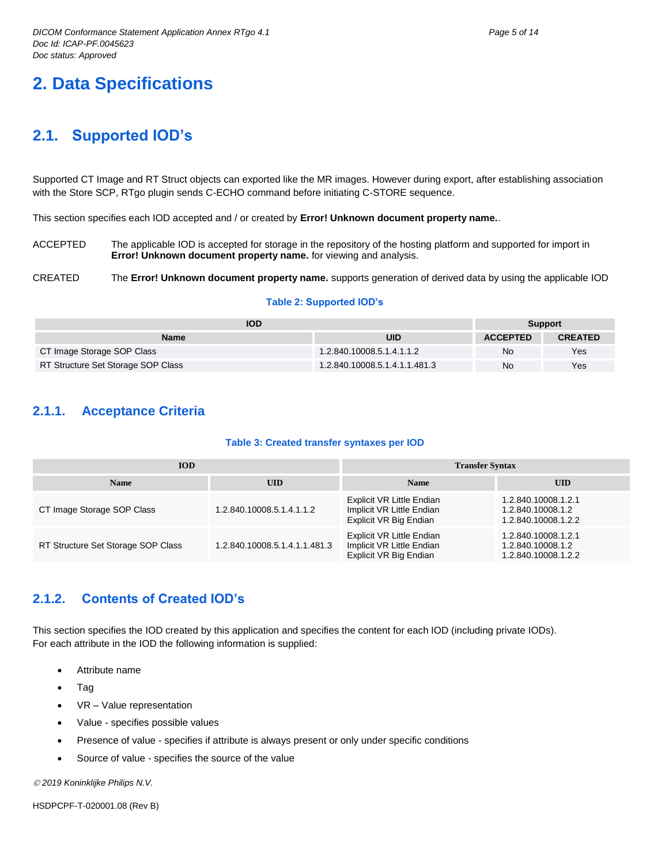# <span id="page-4-0"></span>**2. Data Specifications**

## <span id="page-4-1"></span>**2.1. Supported IOD's**

Supported CT Image and RT Struct objects can exported like the MR images. However during export, after establishing association with the Store SCP, RTgo plugin sends C-ECHO command before initiating C-STORE sequence.

This section specifies each IOD accepted and / or created by **Error! Unknown document property name.**.

ACCEPTED The applicable IOD is accepted for storage in the repository of the hosting platform and supported for import in **Error! Unknown document property name.** for viewing and analysis.

#### CREATED The **Error! Unknown document property name.** supports generation of derived data by using the applicable IOD

#### **Table 2: Supported IOD's**

| <b>IOD</b>                         |                               |                 | <b>Support</b> |  |
|------------------------------------|-------------------------------|-----------------|----------------|--|
| <b>Name</b>                        | UID                           | <b>ACCEPTED</b> | <b>CREATED</b> |  |
| CT Image Storage SOP Class         | 1.2.840.10008.5.1.4.1.1.2     | No              | Yes            |  |
| RT Structure Set Storage SOP Class | 1.2.840.10008.5.1.4.1.1.481.3 | No              | Yes            |  |

### <span id="page-4-2"></span>**2.1.1. Acceptance Criteria**

#### **Table 3: Created transfer syntaxes per IOD**

| <b>IOD</b>                         |                               | <b>Transfer Syntax</b>                                                           |                                                                 |  |
|------------------------------------|-------------------------------|----------------------------------------------------------------------------------|-----------------------------------------------------------------|--|
| <b>Name</b>                        | <b>UID</b>                    | <b>Name</b>                                                                      | <b>UID</b>                                                      |  |
| CT Image Storage SOP Class         | 1.2.840.10008.5.1.4.1.1.2     | Explicit VR Little Endian<br>Implicit VR Little Endian<br>Explicit VR Big Endian | 1.2.840.10008.1.2.1<br>1.2.840.10008.1.2<br>1.2.840.10008.1.2.2 |  |
| RT Structure Set Storage SOP Class | 1.2.840.10008.5.1.4.1.1.481.3 | Explicit VR Little Endian<br>Implicit VR Little Endian<br>Explicit VR Big Endian | 1.2.840.10008.1.2.1<br>1.2.840.10008.1.2<br>1.2.840.10008.1.2.2 |  |

## <span id="page-4-3"></span>**2.1.2. Contents of Created IOD's**

This section specifies the IOD created by this application and specifies the content for each IOD (including private IODs). For each attribute in the IOD the following information is supplied:

- Attribute name
- Tag
- VR Value representation
- Value specifies possible values
- Presence of value specifies if attribute is always present or only under specific conditions
- Source of value specifies the source of the value

*2019 Koninklijke Philips N.V.*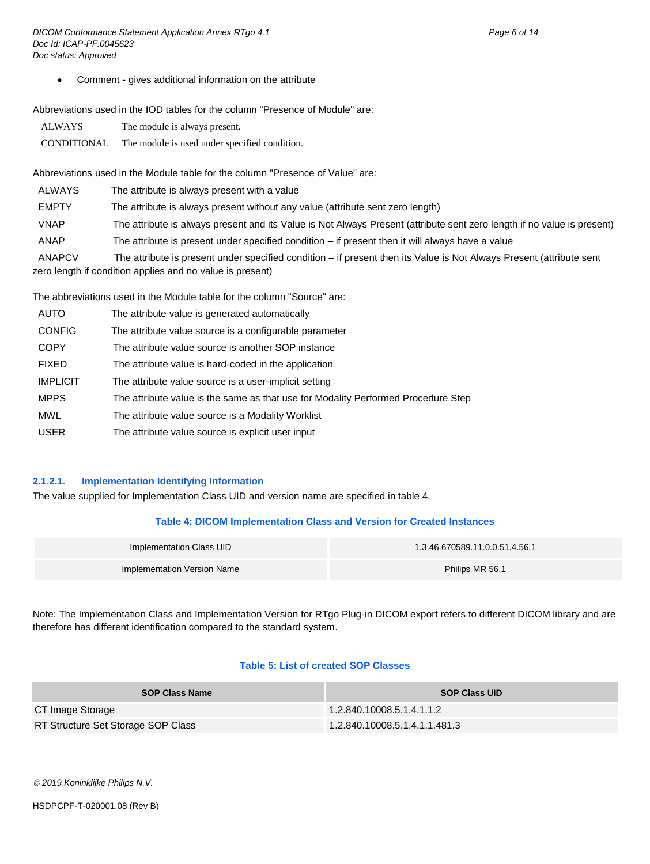Comment - gives additional information on the attribute

Abbreviations used in the IOD tables for the column "Presence of Module" are:

| <b>ALWAYS</b> | The module is always present.                 |
|---------------|-----------------------------------------------|
| CONDITIONAL   | The module is used under specified condition. |

Abbreviations used in the Module table for the column "Presence of Value" are:

| <b>ALWAYS</b> | The attribute is always present with a value                                                                            |
|---------------|-------------------------------------------------------------------------------------------------------------------------|
| <b>EMPTY</b>  | The attribute is always present without any value (attribute sent zero length)                                          |
| VNAP          | The attribute is always present and its Value is Not Always Present (attribute sent zero length if no value is present) |
| ANAP          | The attribute is present under specified condition $-$ if present then it will always have a value                      |
| <b>ANAPCV</b> | The attribute is present under specified condition – if present then its Value is Not Always Present (attribute sent    |
|               | zero length if condition applies and no value is present)                                                               |

The abbreviations used in the Module table for the column "Source" are:

| <b>AUTO</b>     | The attribute value is generated automatically                                    |
|-----------------|-----------------------------------------------------------------------------------|
| <b>CONFIG</b>   | The attribute value source is a configurable parameter                            |
| <b>COPY</b>     | The attribute value source is another SOP instance                                |
| <b>FIXED</b>    | The attribute value is hard-coded in the application                              |
| <b>IMPLICIT</b> | The attribute value source is a user-implicit setting                             |
| <b>MPPS</b>     | The attribute value is the same as that use for Modality Performed Procedure Step |
| <b>MWL</b>      | The attribute value source is a Modality Worklist                                 |
| <b>USER</b>     | The attribute value source is explicit user input                                 |

#### **2.1.2.1. Implementation Identifying Information**

The value supplied for Implementation Class UID and version name are specified in table 4.

#### **Table 4: DICOM Implementation Class and Version for Created Instances**

| Implementation Class UID    | 1.3.46.670589.11.0.0.51.4.56.1 |
|-----------------------------|--------------------------------|
| Implementation Version Name | Philips MR 56.1                |

Note: The Implementation Class and Implementation Version for RTgo Plug-in DICOM export refers to different DICOM library and are therefore has different identification compared to the standard system.

#### **Table 5: List of created SOP Classes**

| <b>SOP Class Name</b>              | <b>SOP Class UID</b>          |
|------------------------------------|-------------------------------|
| CT Image Storage                   | 1.2.840.10008.5.1.4.1.1.2     |
| RT Structure Set Storage SOP Class | 1.2.840.10008.5.1.4.1.1.481.3 |

*2019 Koninklijke Philips N.V.*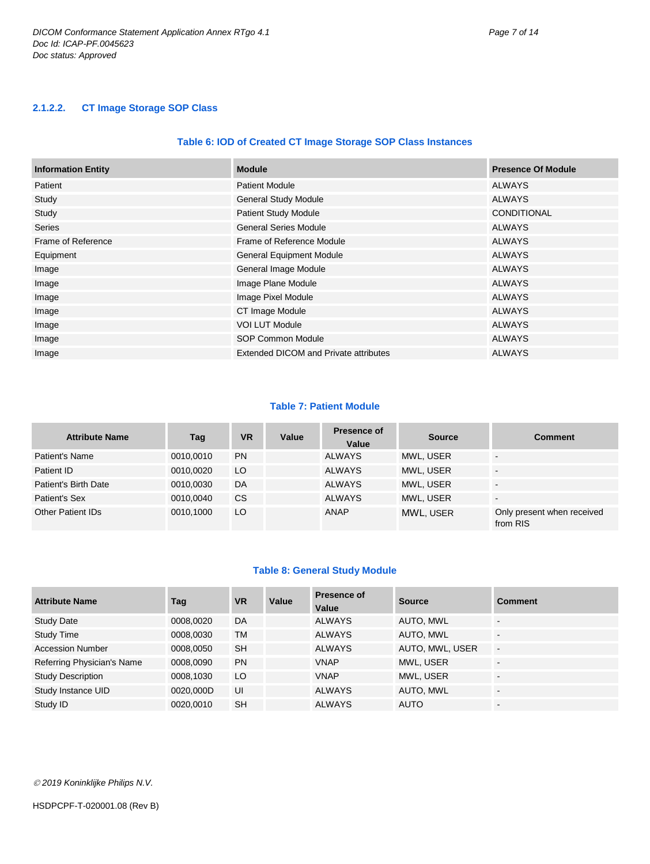#### **2.1.2.2. CT Image Storage SOP Class**

#### **Table 6: IOD of Created CT Image Storage SOP Class Instances**

| <b>Information Entity</b> | <b>Module</b>                         | <b>Presence Of Module</b> |
|---------------------------|---------------------------------------|---------------------------|
| Patient                   | <b>Patient Module</b>                 | <b>ALWAYS</b>             |
| Study                     | <b>General Study Module</b>           | <b>ALWAYS</b>             |
| Study                     | <b>Patient Study Module</b>           | <b>CONDITIONAL</b>        |
| <b>Series</b>             | <b>General Series Module</b>          | <b>ALWAYS</b>             |
| Frame of Reference        | Frame of Reference Module             | <b>ALWAYS</b>             |
| Equipment                 | <b>General Equipment Module</b>       | <b>ALWAYS</b>             |
| Image                     | General Image Module                  | <b>ALWAYS</b>             |
| Image                     | Image Plane Module                    | <b>ALWAYS</b>             |
| Image                     | Image Pixel Module                    | <b>ALWAYS</b>             |
| Image                     | CT Image Module                       | <b>ALWAYS</b>             |
| Image                     | <b>VOI LUT Module</b>                 | <b>ALWAYS</b>             |
| Image                     | SOP Common Module                     | <b>ALWAYS</b>             |
| Image                     | Extended DICOM and Private attributes | <b>ALWAYS</b>             |

#### **Table 7: Patient Module**

| <b>Attribute Name</b>    | Tag       | <b>VR</b> | Value | <b>Presence of</b><br>Value | <b>Source</b> | <b>Comment</b>                         |
|--------------------------|-----------|-----------|-------|-----------------------------|---------------|----------------------------------------|
| Patient's Name           | 0010.0010 | <b>PN</b> |       | <b>ALWAYS</b>               | MWL, USER     | $\overline{\phantom{0}}$               |
| Patient ID               | 0010.0020 | LO        |       | <b>ALWAYS</b>               | MWL, USER     | $\overline{\phantom{0}}$               |
| Patient's Birth Date     | 0010.0030 | DA        |       | <b>ALWAYS</b>               | MWL. USER     | $\overline{\phantom{0}}$               |
| Patient's Sex            | 0010.0040 | CS        |       | <b>ALWAYS</b>               | MWL. USER     | $\overline{\phantom{a}}$               |
| <b>Other Patient IDs</b> | 0010.1000 | LO        |       | ANAP                        | MWL, USER     | Only present when received<br>from RIS |

#### **Table 8: General Study Module**

| <b>Attribute Name</b>      | Tag       | <b>VR</b> | Value | <b>Presence of</b><br>Value | <b>Source</b>   | <b>Comment</b>           |
|----------------------------|-----------|-----------|-------|-----------------------------|-----------------|--------------------------|
| <b>Study Date</b>          | 0008,0020 | DA        |       | <b>ALWAYS</b>               | AUTO, MWL       | $\overline{\phantom{0}}$ |
| <b>Study Time</b>          | 0008,0030 | TM        |       | <b>ALWAYS</b>               | AUTO, MWL       | $\overline{\phantom{0}}$ |
| <b>Accession Number</b>    | 0008.0050 | <b>SH</b> |       | <b>ALWAYS</b>               | AUTO, MWL, USER | $\sim$                   |
| Referring Physician's Name | 0008,0090 | <b>PN</b> |       | <b>VNAP</b>                 | MWL, USER       |                          |
| <b>Study Description</b>   | 0008,1030 | LO        |       | <b>VNAP</b>                 | MWL, USER       |                          |
| Study Instance UID         | 0020.000D | UI        |       | <b>ALWAYS</b>               | AUTO, MWL       |                          |
| Study ID                   | 0020.0010 | <b>SH</b> |       | <b>ALWAYS</b>               | <b>AUTO</b>     | $\overline{\phantom{0}}$ |

*2019 Koninklijke Philips N.V.*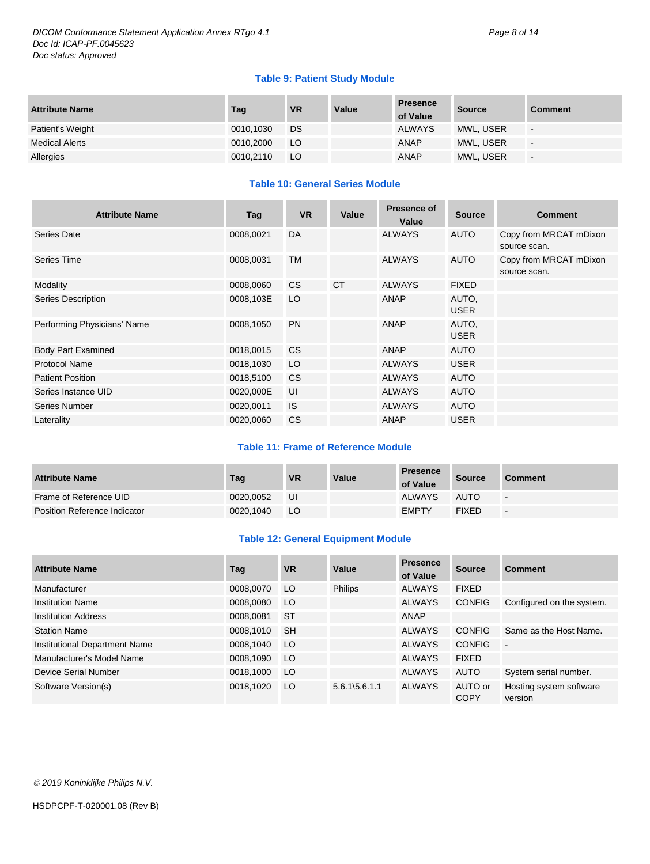#### **Table 9: Patient Study Module**

| <b>Attribute Name</b> | Tag       | <b>VR</b> | Value | <b>Presence</b><br>of Value | <b>Source</b> | <b>Comment</b> |
|-----------------------|-----------|-----------|-------|-----------------------------|---------------|----------------|
| Patient's Weight      | 0010,1030 | DS        |       | <b>ALWAYS</b>               | MWL, USER     | $\sim$         |
| <b>Medical Alerts</b> | 0010,2000 | LO        |       | ANAP                        | MWL, USER     | $\sim$         |
| Allergies             | 0010,2110 | LO        |       | <b>ANAP</b>                 | MWL, USER     | $\sim$         |

#### **Table 10: General Series Module**

| <b>Attribute Name</b>       | Tag       | <b>VR</b>      | Value     | <b>Presence of</b><br>Value | <b>Source</b>        | <b>Comment</b>                         |
|-----------------------------|-----------|----------------|-----------|-----------------------------|----------------------|----------------------------------------|
| Series Date                 | 0008,0021 | DA.            |           | <b>ALWAYS</b>               | <b>AUTO</b>          | Copy from MRCAT mDixon<br>source scan. |
| Series Time                 | 0008,0031 | <b>TM</b>      |           | <b>ALWAYS</b>               | <b>AUTO</b>          | Copy from MRCAT mDixon<br>source scan. |
| Modality                    | 0008,0060 | C <sub>S</sub> | <b>CT</b> | <b>ALWAYS</b>               | <b>FIXED</b>         |                                        |
| Series Description          | 0008,103E | LO             |           | <b>ANAP</b>                 | AUTO.<br><b>USER</b> |                                        |
| Performing Physicians' Name | 0008,1050 | <b>PN</b>      |           | ANAP                        | AUTO.<br><b>USER</b> |                                        |
| <b>Body Part Examined</b>   | 0018,0015 | C <sub>S</sub> |           | ANAP                        | <b>AUTO</b>          |                                        |
| <b>Protocol Name</b>        | 0018,1030 | LO             |           | <b>ALWAYS</b>               | <b>USER</b>          |                                        |
| <b>Patient Position</b>     | 0018,5100 | C <sub>S</sub> |           | <b>ALWAYS</b>               | AUTO                 |                                        |
| Series Instance UID         | 0020,000E | UI             |           | <b>ALWAYS</b>               | <b>AUTO</b>          |                                        |
| Series Number               | 0020,0011 | <b>IS</b>      |           | <b>ALWAYS</b>               | <b>AUTO</b>          |                                        |
| Laterality                  | 0020,0060 | <b>CS</b>      |           | ANAP                        | <b>USER</b>          |                                        |

#### **Table 11: Frame of Reference Module**

| <b>Attribute Name</b>        | Tag       | VR | Value | <b>Presence</b><br>of Value | Source       | <b>Comment</b>           |
|------------------------------|-----------|----|-------|-----------------------------|--------------|--------------------------|
| Frame of Reference UID       | 0020.0052 | UI |       | <b>ALWAYS</b>               | <b>AUTO</b>  | $\overline{\phantom{0}}$ |
| Position Reference Indicator | 0020.1040 | LO |       | <b>EMPTY</b>                | <b>FIXED</b> | $\overline{\phantom{0}}$ |

#### **Table 12: General Equipment Module**

| <b>Attribute Name</b>         | Tag       | <b>VR</b> | Value                     | <b>Presence</b><br>of Value | Source                 | <b>Comment</b>                     |
|-------------------------------|-----------|-----------|---------------------------|-----------------------------|------------------------|------------------------------------|
| Manufacturer                  | 0008.0070 | LO        | <b>Philips</b>            | <b>ALWAYS</b>               | <b>FIXED</b>           |                                    |
| <b>Institution Name</b>       | 0008,0080 | LO        |                           | <b>ALWAYS</b>               | <b>CONFIG</b>          | Configured on the system.          |
| <b>Institution Address</b>    | 0008.0081 | <b>ST</b> |                           | ANAP                        |                        |                                    |
| <b>Station Name</b>           | 0008,1010 | <b>SH</b> |                           | <b>ALWAYS</b>               | <b>CONFIG</b>          | Same as the Host Name.             |
| Institutional Department Name | 0008,1040 | LO        |                           | <b>ALWAYS</b>               | <b>CONFIG</b>          | $\sim$                             |
| Manufacturer's Model Name     | 0008,1090 | LO        |                           | <b>ALWAYS</b>               | <b>FIXED</b>           |                                    |
| Device Serial Number          | 0018,1000 | LO        |                           | <b>ALWAYS</b>               | <b>AUTO</b>            | System serial number.              |
| Software Version(s)           | 0018,1020 | LO        | $5.6.1\overline{5.6.1.1}$ | <b>ALWAYS</b>               | AUTO or<br><b>COPY</b> | Hosting system software<br>version |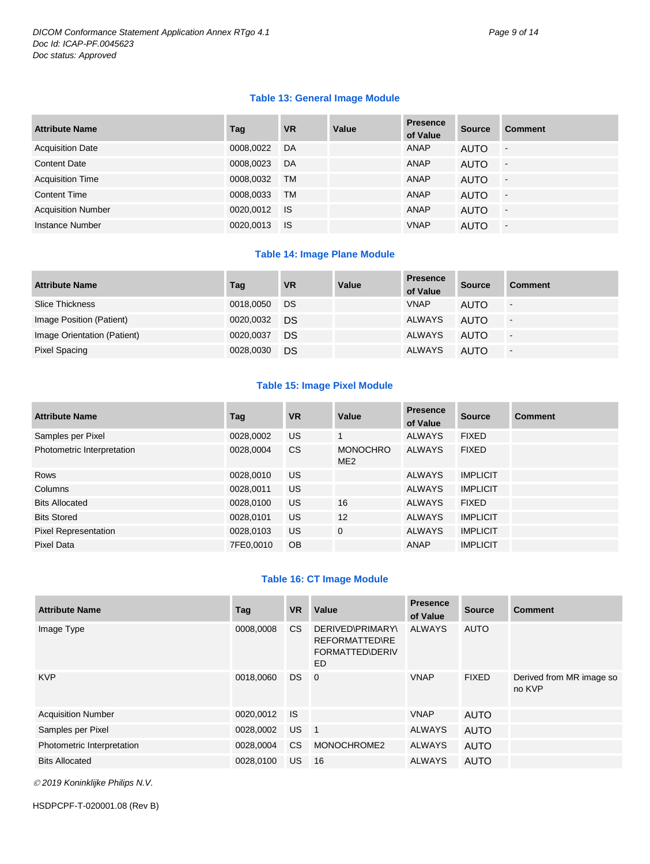#### **Table 13: General Image Module**

| <b>Attribute Name</b>     | Tag       | <b>VR</b> | Value | <b>Presence</b><br>of Value | <b>Source</b> | <b>Comment</b> |
|---------------------------|-----------|-----------|-------|-----------------------------|---------------|----------------|
| <b>Acquisition Date</b>   | 0008,0022 | DA        |       | ANAP                        | <b>AUTO</b>   | $\blacksquare$ |
| <b>Content Date</b>       | 0008.0023 | DA        |       | ANAP                        | <b>AUTO</b>   | $\sim$         |
| <b>Acquisition Time</b>   | 0008.0032 | <b>TM</b> |       | ANAP                        | <b>AUTO</b>   | $\blacksquare$ |
| <b>Content Time</b>       | 0008,0033 | <b>TM</b> |       | <b>ANAP</b>                 | <b>AUTO</b>   | $\sim$         |
| <b>Acquisition Number</b> | 0020,0012 | -IS       |       | ANAP                        | <b>AUTO</b>   | $\sim$         |
| Instance Number           | 0020,0013 | <b>IS</b> |       | <b>VNAP</b>                 | <b>AUTO</b>   | $\blacksquare$ |

#### **Table 14: Image Plane Module**

| <b>Attribute Name</b>       | Tag       | <b>VR</b> | Value | <b>Presence</b><br>of Value | <b>Source</b> | <b>Comment</b> |
|-----------------------------|-----------|-----------|-------|-----------------------------|---------------|----------------|
| Slice Thickness             | 0018,0050 | DS        |       | <b>VNAP</b>                 | <b>AUTO</b>   | -              |
| Image Position (Patient)    | 0020,0032 | DS        |       | ALWAYS                      | <b>AUTO</b>   | $\blacksquare$ |
| Image Orientation (Patient) | 0020.0037 | DS        |       | ALWAYS                      | <b>AUTO</b>   | $\blacksquare$ |
| Pixel Spacing               | 0028,0030 | DS        |       | <b>ALWAYS</b>               | <b>AUTO</b>   | $\blacksquare$ |

#### **Table 15: Image Pixel Module**

| <b>Attribute Name</b>       | Tag       | <b>VR</b> | Value                              | <b>Presence</b><br>of Value | <b>Source</b>   | <b>Comment</b> |
|-----------------------------|-----------|-----------|------------------------------------|-----------------------------|-----------------|----------------|
| Samples per Pixel           | 0028,0002 | US.       | $\mathbf{1}$                       | <b>ALWAYS</b>               | <b>FIXED</b>    |                |
| Photometric Interpretation  | 0028,0004 | <b>CS</b> | <b>MONOCHRO</b><br>ME <sub>2</sub> | <b>ALWAYS</b>               | <b>FIXED</b>    |                |
| <b>Rows</b>                 | 0028,0010 | US.       |                                    | <b>ALWAYS</b>               | <b>IMPLICIT</b> |                |
| Columns                     | 0028,0011 | <b>US</b> |                                    | <b>ALWAYS</b>               | <b>IMPLICIT</b> |                |
| <b>Bits Allocated</b>       | 0028,0100 | <b>US</b> | 16                                 | <b>ALWAYS</b>               | <b>FIXED</b>    |                |
| <b>Bits Stored</b>          | 0028,0101 | <b>US</b> | 12                                 | <b>ALWAYS</b>               | <b>IMPLICIT</b> |                |
| <b>Pixel Representation</b> | 0028,0103 | US.       | $\mathbf 0$                        | <b>ALWAYS</b>               | <b>IMPLICIT</b> |                |
| Pixel Data                  | 7FE0.0010 | <b>OB</b> |                                    | <b>ANAP</b>                 | <b>IMPLICIT</b> |                |

#### **Table 16: CT Image Module**

| <b>Attribute Name</b>      | Tag       | <b>VR</b> | Value                                                                     | <b>Presence</b><br>of Value | <b>Source</b> | <b>Comment</b>                     |
|----------------------------|-----------|-----------|---------------------------------------------------------------------------|-----------------------------|---------------|------------------------------------|
| Image Type                 | 0008,0008 | CS.       | DERIVED\PRIMARY\<br><b>REFORMATTED\RE</b><br><b>FORMATTED\DERIV</b><br>ED | <b>ALWAYS</b>               | <b>AUTO</b>   |                                    |
| <b>KVP</b>                 | 0018,0060 | DS.       | $\overline{0}$                                                            | <b>VNAP</b>                 | <b>FIXED</b>  | Derived from MR image so<br>no KVP |
| <b>Acquisition Number</b>  | 0020,0012 | - IS      |                                                                           | <b>VNAP</b>                 | AUTO          |                                    |
| Samples per Pixel          | 0028,0002 | US.       | $\blacksquare$ 1                                                          | <b>ALWAYS</b>               | <b>AUTO</b>   |                                    |
| Photometric Interpretation | 0028,0004 | CS.       | MONOCHROME2                                                               | <b>ALWAYS</b>               | <b>AUTO</b>   |                                    |
| <b>Bits Allocated</b>      | 0028,0100 | US.       | 16                                                                        | <b>ALWAYS</b>               | AUTO          |                                    |

*2019 Koninklijke Philips N.V.*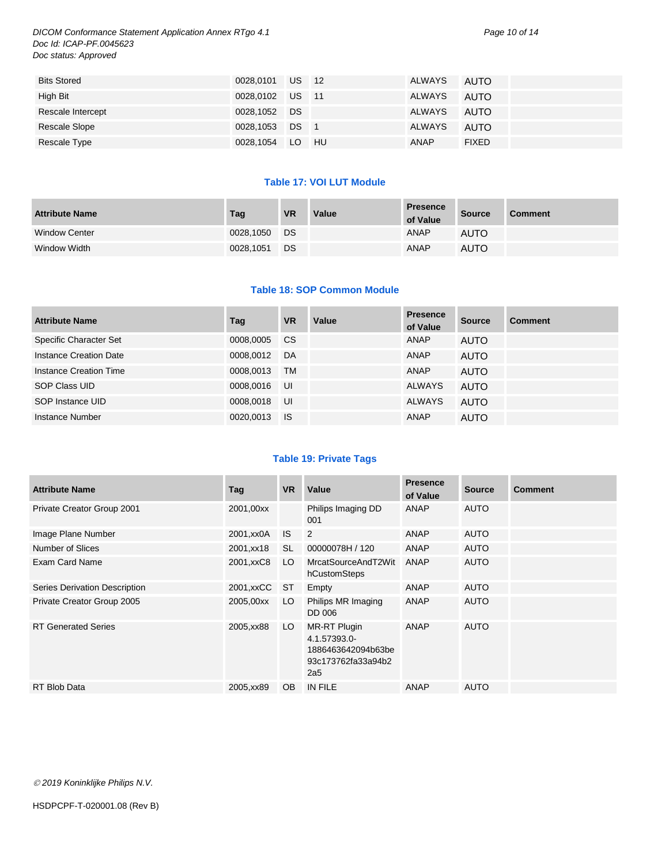*DICOM Conformance Statement Application Annex RTgo 4.1 Page 10 of 14 Doc Id: ICAP-PF.0045623 Doc status: Approved*

| <b>Bits Stored</b> | 0028,0101 US 12 |  | ALWAYS      | AUTO         |
|--------------------|-----------------|--|-------------|--------------|
| High Bit           | 0028,0102 US 11 |  | ALWAYS      | AUTO         |
| Rescale Intercept  | 0028,1052 DS    |  | ALWAYS      | AUTO         |
| Rescale Slope      | 0028,1053 DS 1  |  | ALWAYS      | AUTO         |
| Rescale Type       | 0028,1054 LO HU |  | <b>ANAP</b> | <b>FIXED</b> |

#### **Table 17: VOI LUT Module**

| <b>Attribute Name</b> | Tag       | <b>VR</b> | Value | <b>Presence</b><br>of Value | <b>Source</b> | <b>Comment</b> |
|-----------------------|-----------|-----------|-------|-----------------------------|---------------|----------------|
| <b>Window Center</b>  | 0028.1050 | DS        |       | <b>ANAP</b>                 | <b>AUTO</b>   |                |
| Window Width          | 0028,1051 | DS        |       | <b>ANAP</b>                 | <b>AUTO</b>   |                |

#### **Table 18: SOP Common Module**

| <b>Attribute Name</b>  | Tag       | <b>VR</b> | Value | <b>Presence</b><br>of Value | <b>Source</b> | <b>Comment</b> |
|------------------------|-----------|-----------|-------|-----------------------------|---------------|----------------|
| Specific Character Set | 0008,0005 | <b>CS</b> |       | ANAP                        | <b>AUTO</b>   |                |
| Instance Creation Date | 0008.0012 | DA        |       | ANAP                        | <b>AUTO</b>   |                |
| Instance Creation Time | 0008.0013 | TM        |       | ANAP                        | <b>AUTO</b>   |                |
| SOP Class UID          | 0008.0016 | UI        |       | <b>ALWAYS</b>               | <b>AUTO</b>   |                |
| SOP Instance UID       | 0008.0018 | UI        |       | <b>ALWAYS</b>               | <b>AUTO</b>   |                |
| Instance Number        | 0020,0013 | - IS      |       | ANAP                        | <b>AUTO</b>   |                |

#### **Table 19: Private Tags**

| <b>Attribute Name</b>         | Tag        | <b>VR</b> | Value                                                                           | <b>Presence</b><br>of Value | <b>Source</b> | <b>Comment</b> |
|-------------------------------|------------|-----------|---------------------------------------------------------------------------------|-----------------------------|---------------|----------------|
| Private Creator Group 2001    | 2001,00xx  |           | Philips Imaging DD<br>001                                                       | ANAP                        | <b>AUTO</b>   |                |
| Image Plane Number            | 2001, xx0A | IS.       | 2                                                                               | ANAP                        | <b>AUTO</b>   |                |
| <b>Number of Slices</b>       | 2001, xx18 | SL        | 00000078H / 120                                                                 | ANAP                        | <b>AUTO</b>   |                |
| Exam Card Name                | 2001, xxC8 | LO.       | MrcatSourceAndT2Wit<br>hCustomSteps                                             | ANAP                        | <b>AUTO</b>   |                |
| Series Derivation Description | 2001, xxCC | ST        | Empty                                                                           | ANAP                        | <b>AUTO</b>   |                |
| Private Creator Group 2005    | 2005,00xx  | LO        | Philips MR Imaging<br>DD 006                                                    | ANAP                        | <b>AUTO</b>   |                |
| <b>RT Generated Series</b>    | 2005, xx88 | LO.       | MR-RT Plugin<br>4.1.57393.0-<br>1886463642094b63be<br>93c173762fa33a94b2<br>2a5 | ANAP                        | <b>AUTO</b>   |                |
| <b>RT Blob Data</b>           | 2005, xx89 | <b>OB</b> | IN FILE                                                                         | <b>ANAP</b>                 | <b>AUTO</b>   |                |

*2019 Koninklijke Philips N.V.*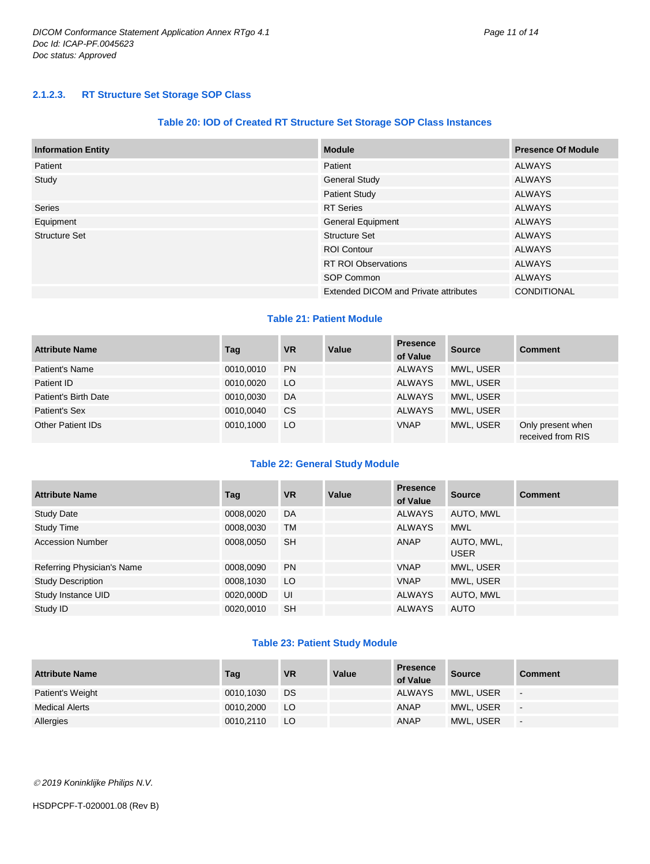#### **Table 20: IOD of Created RT Structure Set Storage SOP Class Instances**

| <b>Information Entity</b> | <b>Module</b>                                | <b>Presence Of Module</b> |
|---------------------------|----------------------------------------------|---------------------------|
| Patient                   | Patient                                      | <b>ALWAYS</b>             |
| Study                     | <b>General Study</b>                         | <b>ALWAYS</b>             |
|                           | <b>Patient Study</b>                         | <b>ALWAYS</b>             |
| <b>Series</b>             | <b>RT</b> Series                             | <b>ALWAYS</b>             |
| Equipment                 | <b>General Equipment</b>                     | <b>ALWAYS</b>             |
| Structure Set             | <b>Structure Set</b>                         | <b>ALWAYS</b>             |
|                           | <b>ROI Contour</b>                           | <b>ALWAYS</b>             |
|                           | <b>RT ROI Observations</b>                   | <b>ALWAYS</b>             |
|                           | SOP Common                                   | <b>ALWAYS</b>             |
|                           | <b>Extended DICOM and Private attributes</b> | <b>CONDITIONAL</b>        |

#### **Table 21: Patient Module**

| <b>Attribute Name</b>    | Tag       | <b>VR</b> | Value | <b>Presence</b><br>of Value | <b>Source</b> | <b>Comment</b>                         |
|--------------------------|-----------|-----------|-------|-----------------------------|---------------|----------------------------------------|
| Patient's Name           | 0010.0010 | <b>PN</b> |       | <b>ALWAYS</b>               | MWL, USER     |                                        |
| Patient ID               | 0010.0020 | LO        |       | <b>ALWAYS</b>               | MWL, USER     |                                        |
| Patient's Birth Date     | 0010.0030 | DA        |       | <b>ALWAYS</b>               | MWL. USER     |                                        |
| Patient's Sex            | 0010.0040 | <b>CS</b> |       | <b>ALWAYS</b>               | MWL. USER     |                                        |
| <b>Other Patient IDs</b> | 0010.1000 | LO        |       | <b>VNAP</b>                 | MWL, USER     | Only present when<br>received from RIS |

#### **Table 22: General Study Module**

| <b>Attribute Name</b>      | Tag       | <b>VR</b> | Value | <b>Presence</b><br>of Value | <b>Source</b>             | <b>Comment</b> |
|----------------------------|-----------|-----------|-------|-----------------------------|---------------------------|----------------|
| <b>Study Date</b>          | 0008,0020 | DA        |       | <b>ALWAYS</b>               | AUTO, MWL                 |                |
| <b>Study Time</b>          | 0008,0030 | <b>TM</b> |       | <b>ALWAYS</b>               | <b>MWL</b>                |                |
| <b>Accession Number</b>    | 0008.0050 | <b>SH</b> |       | ANAP                        | AUTO, MWL,<br><b>USER</b> |                |
| Referring Physician's Name | 0008.0090 | <b>PN</b> |       | <b>VNAP</b>                 | MWL, USER                 |                |
| <b>Study Description</b>   | 0008,1030 | LO        |       | <b>VNAP</b>                 | MWL, USER                 |                |
| Study Instance UID         | 0020,000D | UI        |       | <b>ALWAYS</b>               | AUTO, MWL                 |                |
| Study ID                   | 0020,0010 | <b>SH</b> |       | <b>ALWAYS</b>               | <b>AUTO</b>               |                |

#### **Table 23: Patient Study Module**

| <b>Attribute Name</b> | Tag       | <b>VR</b> | Value | <b>Presence</b><br>of Value | <b>Source</b> | <b>Comment</b>           |
|-----------------------|-----------|-----------|-------|-----------------------------|---------------|--------------------------|
| Patient's Weight      | 0010.1030 | DS        |       | <b>ALWAYS</b>               | MWL, USER     | $\overline{\phantom{a}}$ |
| Medical Alerts        | 0010,2000 | LO        |       | ANAP                        | MWL, USER     | $\blacksquare$           |
| Allergies             | 0010,2110 | LO        |       | <b>ANAP</b>                 | MWL, USER     | $\blacksquare$           |

*2019 Koninklijke Philips N.V.*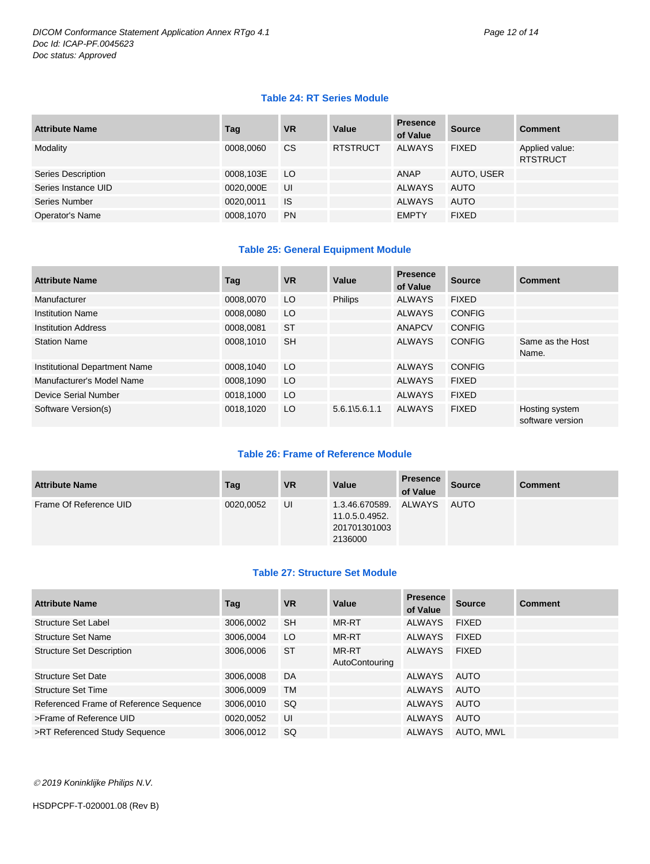#### **Table 24: RT Series Module**

| <b>Attribute Name</b> | Tag       | <b>VR</b>     | Value           | <b>Presence</b><br>of Value | <b>Source</b> | <b>Comment</b>                    |
|-----------------------|-----------|---------------|-----------------|-----------------------------|---------------|-----------------------------------|
| Modality              | 0008,0060 | <sub>CS</sub> | <b>RTSTRUCT</b> | <b>ALWAYS</b>               | <b>FIXED</b>  | Applied value:<br><b>RTSTRUCT</b> |
| Series Description    | 0008,103E | LO            |                 | ANAP                        | AUTO, USER    |                                   |
| Series Instance UID   | 0020,000E | UI            |                 | <b>ALWAYS</b>               | <b>AUTO</b>   |                                   |
| Series Number         | 0020,0011 | <b>IS</b>     |                 | <b>ALWAYS</b>               | <b>AUTO</b>   |                                   |
| Operator's Name       | 0008,1070 | <b>PN</b>     |                 | <b>EMPTY</b>                | <b>FIXED</b>  |                                   |

#### **Table 25: General Equipment Module**

| <b>Attribute Name</b>         | Tag       | <b>VR</b> | Value                     | <b>Presence</b><br>of Value | <b>Source</b> | <b>Comment</b>                     |
|-------------------------------|-----------|-----------|---------------------------|-----------------------------|---------------|------------------------------------|
| Manufacturer                  | 0008.0070 | LO        | <b>Philips</b>            | <b>ALWAYS</b>               | <b>FIXED</b>  |                                    |
| <b>Institution Name</b>       | 0008,0080 | LO        |                           | <b>ALWAYS</b>               | <b>CONFIG</b> |                                    |
| <b>Institution Address</b>    | 0008.0081 | <b>ST</b> |                           | <b>ANAPCV</b>               | <b>CONFIG</b> |                                    |
| <b>Station Name</b>           | 0008,1010 | <b>SH</b> |                           | <b>ALWAYS</b>               | <b>CONFIG</b> | Same as the Host<br>Name.          |
| Institutional Department Name | 0008,1040 | LO        |                           | <b>ALWAYS</b>               | <b>CONFIG</b> |                                    |
| Manufacturer's Model Name     | 0008,1090 | LO        |                           | <b>ALWAYS</b>               | <b>FIXED</b>  |                                    |
| Device Serial Number          | 0018,1000 | LO        |                           | <b>ALWAYS</b>               | <b>FIXED</b>  |                                    |
| Software Version(s)           | 0018,1020 | LO        | $5.6.1\overline{5.6.1.1}$ | <b>ALWAYS</b>               | <b>FIXED</b>  | Hosting system<br>software version |

#### **Table 26: Frame of Reference Module**

| <b>Attribute Name</b>  | Tag       | <b>VR</b> | Value                                                              | <b>Presence</b><br>of Value | <b>Source</b> | <b>Comment</b> |
|------------------------|-----------|-----------|--------------------------------------------------------------------|-----------------------------|---------------|----------------|
| Frame Of Reference UID | 0020,0052 | UI        | 1.3.46.670589. ALWAYS<br>11.0.5.0.4952.<br>201701301003<br>2136000 |                             | AUTO          |                |

#### **Table 27: Structure Set Module**

| <b>Attribute Name</b>                  | Tag       | <b>VR</b> | Value                   | <b>Presence</b><br>of Value | <b>Source</b> | <b>Comment</b> |
|----------------------------------------|-----------|-----------|-------------------------|-----------------------------|---------------|----------------|
| Structure Set Label                    | 3006,0002 | <b>SH</b> | MR-RT                   | <b>ALWAYS</b>               | <b>FIXED</b>  |                |
| <b>Structure Set Name</b>              | 3006.0004 | LO        | MR-RT                   | <b>ALWAYS</b>               | <b>FIXED</b>  |                |
| <b>Structure Set Description</b>       | 3006,0006 | <b>ST</b> | MR-RT<br>AutoContouring | <b>ALWAYS</b>               | <b>FIXED</b>  |                |
| <b>Structure Set Date</b>              | 3006,0008 | DA        |                         | ALWAYS                      | AUTO          |                |
| <b>Structure Set Time</b>              | 3006.0009 | <b>TM</b> |                         | <b>ALWAYS</b>               | AUTO          |                |
| Referenced Frame of Reference Sequence | 3006,0010 | <b>SQ</b> |                         | <b>ALWAYS</b>               | AUTO          |                |
| >Frame of Reference UID                | 0020,0052 | UI        |                         | ALWAYS                      | AUTO          |                |
| >RT Referenced Study Sequence          | 3006,0012 | <b>SQ</b> |                         | <b>ALWAYS</b>               | AUTO, MWL     |                |

*2019 Koninklijke Philips N.V.*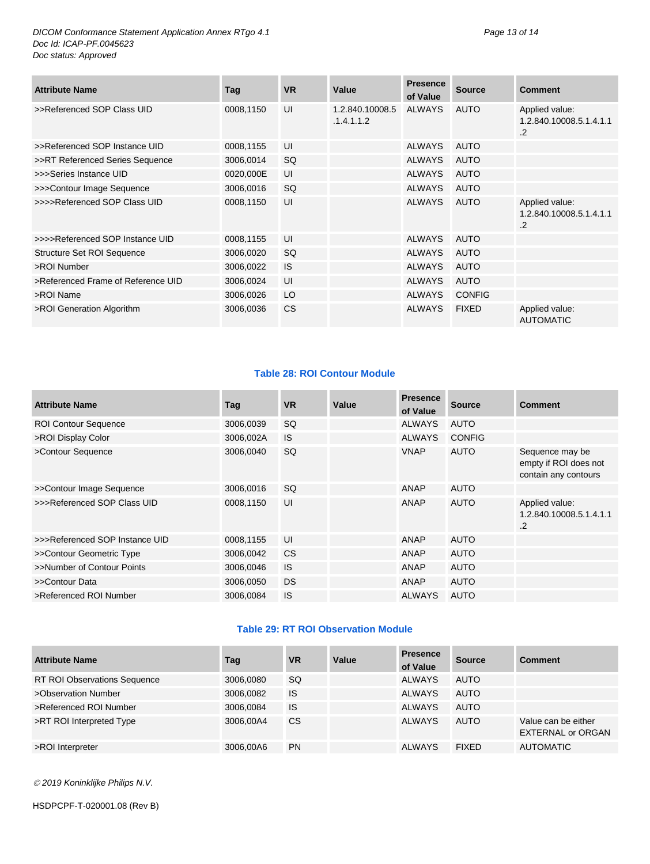*DICOM Conformance Statement Application Annex RTgo 4.1 Page 13 of 14 Doc Id: ICAP-PF.0045623 Doc status: Approved*

| <b>Attribute Name</b>              | Tag       | <b>VR</b> | Value                         | <b>Presence</b><br>of Value | <b>Source</b> | Comment                                                 |
|------------------------------------|-----------|-----------|-------------------------------|-----------------------------|---------------|---------------------------------------------------------|
| >>Referenced SOP Class UID         | 0008,1150 | UI        | 1.2.840.10008.5<br>.1.4.1.1.2 | ALWAYS                      | AUTO          | Applied value:<br>1.2.840.10008.5.1.4.1.1<br>$\cdot$ .2 |
| >>Referenced SOP Instance UID      | 0008,1155 | UI        |                               | <b>ALWAYS</b>               | <b>AUTO</b>   |                                                         |
| >>RT Referenced Series Sequence    | 3006,0014 | <b>SQ</b> |                               | <b>ALWAYS</b>               | <b>AUTO</b>   |                                                         |
| >>>Series Instance UID             | 0020,000E | UI        |                               | <b>ALWAYS</b>               | <b>AUTO</b>   |                                                         |
| >>>Contour Image Sequence          | 3006,0016 | <b>SQ</b> |                               | <b>ALWAYS</b>               | <b>AUTO</b>   |                                                         |
| >>>>Referenced SOP Class UID       | 0008,1150 | UI        |                               | <b>ALWAYS</b>               | <b>AUTO</b>   | Applied value:<br>1.2.840.10008.5.1.4.1.1<br>$\cdot$    |
| >>>>Referenced SOP Instance UID    | 0008,1155 | UI        |                               | <b>ALWAYS</b>               | <b>AUTO</b>   |                                                         |
| Structure Set ROI Sequence         | 3006,0020 | <b>SQ</b> |                               | <b>ALWAYS</b>               | <b>AUTO</b>   |                                                         |
| >ROI Number                        | 3006,0022 | <b>IS</b> |                               | <b>ALWAYS</b>               | <b>AUTO</b>   |                                                         |
| >Referenced Frame of Reference UID | 3006,0024 | UI        |                               | <b>ALWAYS</b>               | <b>AUTO</b>   |                                                         |
| >ROI Name                          | 3006,0026 | LO        |                               | <b>ALWAYS</b>               | <b>CONFIG</b> |                                                         |
| >ROI Generation Algorithm          | 3006,0036 | <b>CS</b> |                               | <b>ALWAYS</b>               | <b>FIXED</b>  | Applied value:<br><b>AUTOMATIC</b>                      |

#### **Table 28: ROI Contour Module**

| <b>Attribute Name</b>          | Tag       | <b>VR</b> | Value | <b>Presence</b><br>of Value | <b>Source</b> | <b>Comment</b>                                                   |
|--------------------------------|-----------|-----------|-------|-----------------------------|---------------|------------------------------------------------------------------|
| <b>ROI Contour Sequence</b>    | 3006,0039 | <b>SQ</b> |       | <b>ALWAYS</b>               | AUTO          |                                                                  |
| >ROI Display Color             | 3006,002A | <b>IS</b> |       | <b>ALWAYS</b>               | <b>CONFIG</b> |                                                                  |
| >Contour Sequence              | 3006,0040 | <b>SQ</b> |       | <b>VNAP</b>                 | <b>AUTO</b>   | Sequence may be<br>empty if ROI does not<br>contain any contours |
| >>Contour Image Sequence       | 3006,0016 | SQ.       |       | ANAP                        | <b>AUTO</b>   |                                                                  |
| >>>Referenced SOP Class UID    | 0008,1150 | UI        |       | <b>ANAP</b>                 | <b>AUTO</b>   | Applied value:<br>1.2.840.10008.5.1.4.1.1<br>$\cdot$ .2          |
| >>>Referenced SOP Instance UID | 0008,1155 | UI        |       | <b>ANAP</b>                 | <b>AUTO</b>   |                                                                  |
| >>Contour Geometric Type       | 3006,0042 | <b>CS</b> |       | ANAP                        | <b>AUTO</b>   |                                                                  |
| >>Number of Contour Points     | 3006,0046 | <b>IS</b> |       | ANAP                        | <b>AUTO</b>   |                                                                  |
| >>Contour Data                 | 3006,0050 | <b>DS</b> |       | ANAP                        | <b>AUTO</b>   |                                                                  |
| >Referenced ROI Number         | 3006,0084 | <b>IS</b> |       | <b>ALWAYS</b>               | <b>AUTO</b>   |                                                                  |

#### **Table 29: RT ROI Observation Module**

| <b>Attribute Name</b>               | Tag       | <b>VR</b> | Value | <b>Presence</b><br>of Value | <b>Source</b> | <b>Comment</b>                                  |
|-------------------------------------|-----------|-----------|-------|-----------------------------|---------------|-------------------------------------------------|
| <b>RT ROI Observations Sequence</b> | 3006,0080 | <b>SQ</b> |       | <b>ALWAYS</b>               | <b>AUTO</b>   |                                                 |
| >Observation Number                 | 3006,0082 | <b>IS</b> |       | ALWAYS                      | AUTO          |                                                 |
| >Referenced ROI Number              | 3006.0084 | <b>IS</b> |       | <b>ALWAYS</b>               | <b>AUTO</b>   |                                                 |
| >RT ROI Interpreted Type            | 3006.00A4 | <b>CS</b> |       | <b>ALWAYS</b>               | AUTO          | Value can be either<br><b>EXTERNAL or ORGAN</b> |
| >ROI Interpreter                    | 3006,00A6 | <b>PN</b> |       | <b>ALWAYS</b>               | <b>FIXED</b>  | <b>AUTOMATIC</b>                                |

*2019 Koninklijke Philips N.V.*